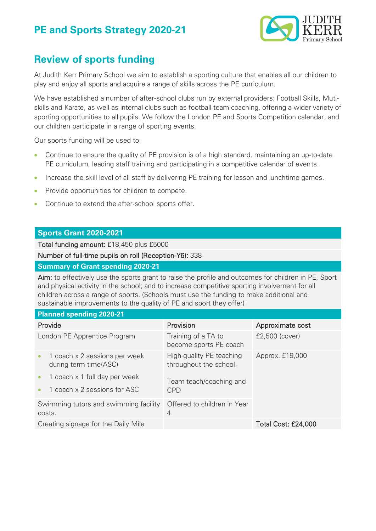## **PE and Sports Strategy 2020-21**



### **Review of sports funding**

At Judith Kerr Primary School we aim to establish a sporting culture that enables all our children to play and enjoy all sports and acquire a range of skills across the PE curriculum.

We have established a number of after-school clubs run by external providers: Football Skills, Mutiskills and Karate, as well as internal clubs such as football team coaching, offering a wider variety of sporting opportunities to all pupils. We follow the London PE and Sports Competition calendar, and our children participate in a range of sporting events.

Our sports funding will be used to:

- Continue to ensure the quality of PE provision is of a high standard, maintaining an up-to-date PE curriculum, leading staff training and participating in a competitive calendar of events.
- Increase the skill level of all staff by delivering PE training for lesson and lunchtime games.
- Provide opportunities for children to compete.
- Continue to extend the after-school sports offer.

#### **Sports Grant 2020-2021**

Total funding amount: £18,450 plus £5000

Number of full-time pupils on roll (Reception-Y6): 338

#### **Summary of Grant spending 2020-21**

Aim: to effectively use the sports grant to raise the profile and outcomes for children in PE, Sport and physical activity in the school; and to increase competitive sporting involvement for all children across a range of sports. (Schools must use the funding to make additional and sustainable improvements to the quality of PE and sport they offer)

#### **Planned spending 2020-21**

| Provide                                                                           | Provision                                          | Approximate cost           |
|-----------------------------------------------------------------------------------|----------------------------------------------------|----------------------------|
| London PE Apprentice Program                                                      | Training of a TA to<br>become sports PE coach      | £2,500 (cover)             |
| 1 coach x 2 sessions per week<br>$\bullet$<br>during term time(ASC)               | High-quality PE teaching<br>throughout the school. | Approx. £19,000            |
| 1 coach $\times$ 1 full day per week<br>$\bullet$<br>1 coach x 2 sessions for ASC | Team teach/coaching and<br><b>CPD</b>              |                            |
| Swimming tutors and swimming facility<br>costs.                                   | Offered to children in Year<br>4.                  |                            |
| Creating signage for the Daily Mile                                               |                                                    | <b>Total Cost: £24,000</b> |